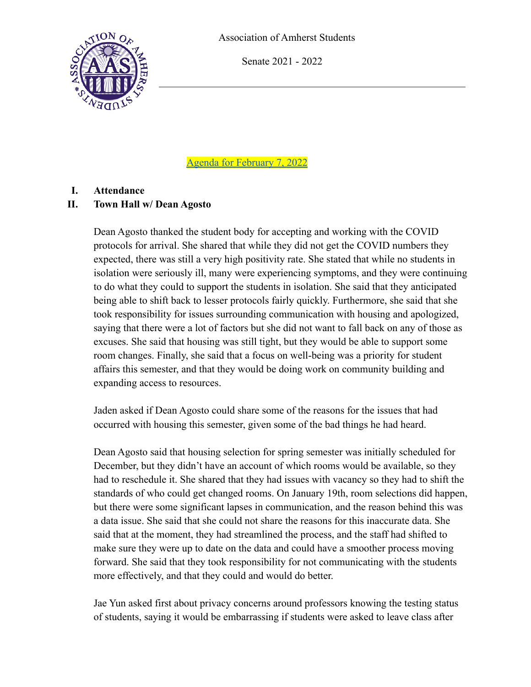



[Agenda for February 7, 2022](https://amherstcollege.zoom.us/j/97736314179)

### **I. Attendance**

### **II. Town Hall w/ Dean Agosto**

Dean Agosto thanked the student body for accepting and working with the COVID protocols for arrival. She shared that while they did not get the COVID numbers they expected, there was still a very high positivity rate. She stated that while no students in isolation were seriously ill, many were experiencing symptoms, and they were continuing to do what they could to support the students in isolation. She said that they anticipated being able to shift back to lesser protocols fairly quickly. Furthermore, she said that she took responsibility for issues surrounding communication with housing and apologized, saying that there were a lot of factors but she did not want to fall back on any of those as excuses. She said that housing was still tight, but they would be able to support some room changes. Finally, she said that a focus on well-being was a priority for student affairs this semester, and that they would be doing work on community building and expanding access to resources.

Jaden asked if Dean Agosto could share some of the reasons for the issues that had occurred with housing this semester, given some of the bad things he had heard.

Dean Agosto said that housing selection for spring semester was initially scheduled for December, but they didn't have an account of which rooms would be available, so they had to reschedule it. She shared that they had issues with vacancy so they had to shift the standards of who could get changed rooms. On January 19th, room selections did happen, but there were some significant lapses in communication, and the reason behind this was a data issue. She said that she could not share the reasons for this inaccurate data. She said that at the moment, they had streamlined the process, and the staff had shifted to make sure they were up to date on the data and could have a smoother process moving forward. She said that they took responsibility for not communicating with the students more effectively, and that they could and would do better.

Jae Yun asked first about privacy concerns around professors knowing the testing status of students, saying it would be embarrassing if students were asked to leave class after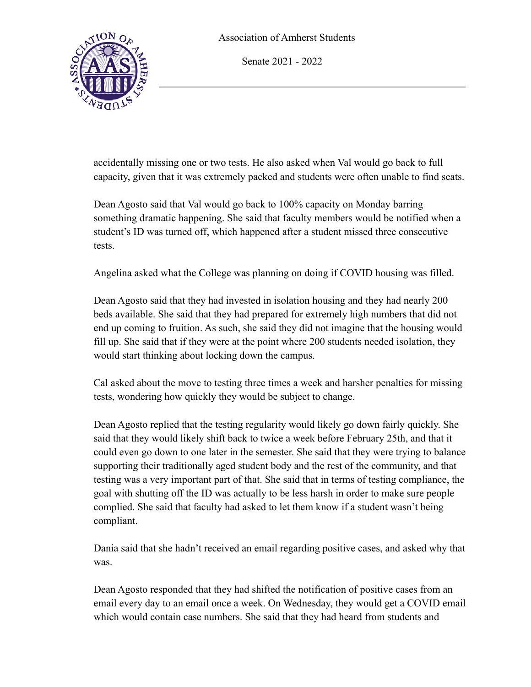Senate 2021 - 2022



accidentally missing one or two tests. He also asked when Val would go back to full capacity, given that it was extremely packed and students were often unable to find seats.

Dean Agosto said that Val would go back to 100% capacity on Monday barring something dramatic happening. She said that faculty members would be notified when a student's ID was turned off, which happened after a student missed three consecutive tests.

Angelina asked what the College was planning on doing if COVID housing was filled.

Dean Agosto said that they had invested in isolation housing and they had nearly 200 beds available. She said that they had prepared for extremely high numbers that did not end up coming to fruition. As such, she said they did not imagine that the housing would fill up. She said that if they were at the point where 200 students needed isolation, they would start thinking about locking down the campus.

Cal asked about the move to testing three times a week and harsher penalties for missing tests, wondering how quickly they would be subject to change.

Dean Agosto replied that the testing regularity would likely go down fairly quickly. She said that they would likely shift back to twice a week before February 25th, and that it could even go down to one later in the semester. She said that they were trying to balance supporting their traditionally aged student body and the rest of the community, and that testing was a very important part of that. She said that in terms of testing compliance, the goal with shutting off the ID was actually to be less harsh in order to make sure people complied. She said that faculty had asked to let them know if a student wasn't being compliant.

Dania said that she hadn't received an email regarding positive cases, and asked why that was.

Dean Agosto responded that they had shifted the notification of positive cases from an email every day to an email once a week. On Wednesday, they would get a COVID email which would contain case numbers. She said that they had heard from students and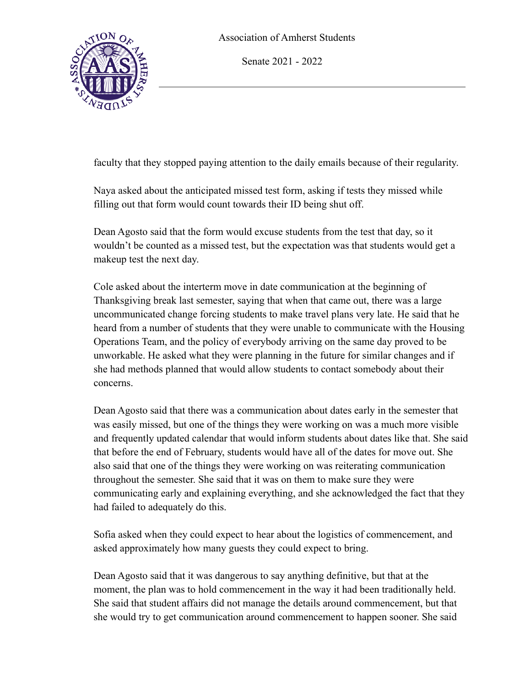



faculty that they stopped paying attention to the daily emails because of their regularity.

Naya asked about the anticipated missed test form, asking if tests they missed while filling out that form would count towards their ID being shut off.

Dean Agosto said that the form would excuse students from the test that day, so it wouldn't be counted as a missed test, but the expectation was that students would get a makeup test the next day.

Cole asked about the interterm move in date communication at the beginning of Thanksgiving break last semester, saying that when that came out, there was a large uncommunicated change forcing students to make travel plans very late. He said that he heard from a number of students that they were unable to communicate with the Housing Operations Team, and the policy of everybody arriving on the same day proved to be unworkable. He asked what they were planning in the future for similar changes and if she had methods planned that would allow students to contact somebody about their concerns.

Dean Agosto said that there was a communication about dates early in the semester that was easily missed, but one of the things they were working on was a much more visible and frequently updated calendar that would inform students about dates like that. She said that before the end of February, students would have all of the dates for move out. She also said that one of the things they were working on was reiterating communication throughout the semester. She said that it was on them to make sure they were communicating early and explaining everything, and she acknowledged the fact that they had failed to adequately do this.

Sofia asked when they could expect to hear about the logistics of commencement, and asked approximately how many guests they could expect to bring.

Dean Agosto said that it was dangerous to say anything definitive, but that at the moment, the plan was to hold commencement in the way it had been traditionally held. She said that student affairs did not manage the details around commencement, but that she would try to get communication around commencement to happen sooner. She said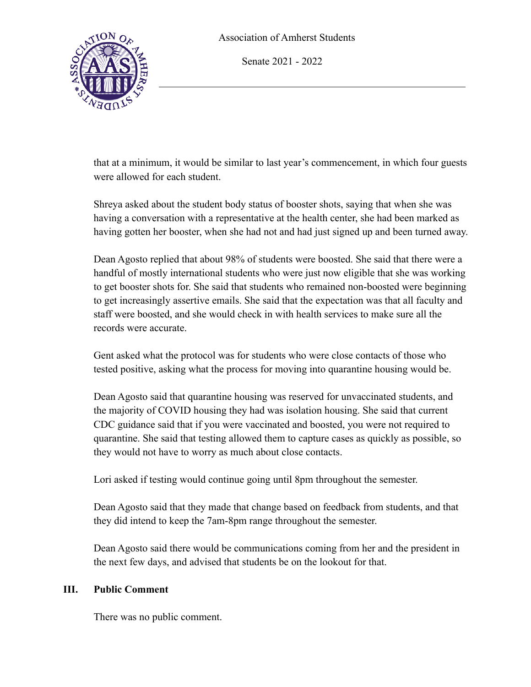Senate 2021 - 2022



that at a minimum, it would be similar to last year's commencement, in which four guests were allowed for each student.

Shreya asked about the student body status of booster shots, saying that when she was having a conversation with a representative at the health center, she had been marked as having gotten her booster, when she had not and had just signed up and been turned away.

Dean Agosto replied that about 98% of students were boosted. She said that there were a handful of mostly international students who were just now eligible that she was working to get booster shots for. She said that students who remained non-boosted were beginning to get increasingly assertive emails. She said that the expectation was that all faculty and staff were boosted, and she would check in with health services to make sure all the records were accurate.

Gent asked what the protocol was for students who were close contacts of those who tested positive, asking what the process for moving into quarantine housing would be.

Dean Agosto said that quarantine housing was reserved for unvaccinated students, and the majority of COVID housing they had was isolation housing. She said that current CDC guidance said that if you were vaccinated and boosted, you were not required to quarantine. She said that testing allowed them to capture cases as quickly as possible, so they would not have to worry as much about close contacts.

Lori asked if testing would continue going until 8pm throughout the semester.

Dean Agosto said that they made that change based on feedback from students, and that they did intend to keep the 7am-8pm range throughout the semester.

Dean Agosto said there would be communications coming from her and the president in the next few days, and advised that students be on the lookout for that.

## **III. Public Comment**

There was no public comment.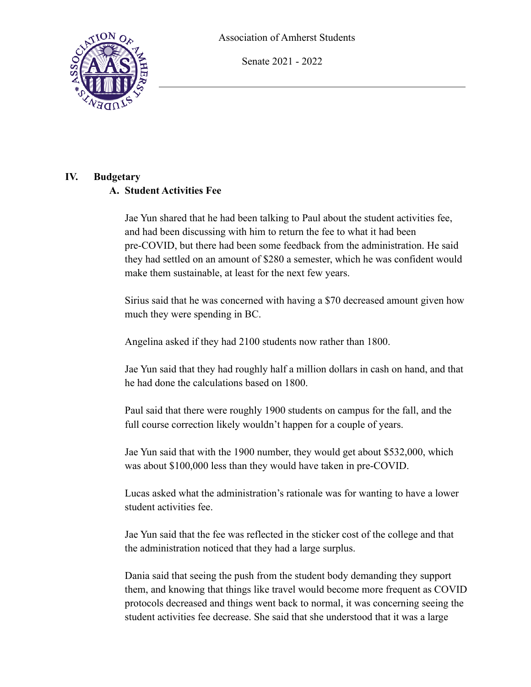

Senate 2021 - 2022

## **IV. Budgetary**

### **A. Student Activities Fee**

Jae Yun shared that he had been talking to Paul about the student activities fee, and had been discussing with him to return the fee to what it had been pre-COVID, but there had been some feedback from the administration. He said they had settled on an amount of \$280 a semester, which he was confident would make them sustainable, at least for the next few years.

Sirius said that he was concerned with having a \$70 decreased amount given how much they were spending in BC.

Angelina asked if they had 2100 students now rather than 1800.

Jae Yun said that they had roughly half a million dollars in cash on hand, and that he had done the calculations based on 1800.

Paul said that there were roughly 1900 students on campus for the fall, and the full course correction likely wouldn't happen for a couple of years.

Jae Yun said that with the 1900 number, they would get about \$532,000, which was about \$100,000 less than they would have taken in pre-COVID.

Lucas asked what the administration's rationale was for wanting to have a lower student activities fee.

Jae Yun said that the fee was reflected in the sticker cost of the college and that the administration noticed that they had a large surplus.

Dania said that seeing the push from the student body demanding they support them, and knowing that things like travel would become more frequent as COVID protocols decreased and things went back to normal, it was concerning seeing the student activities fee decrease. She said that she understood that it was a large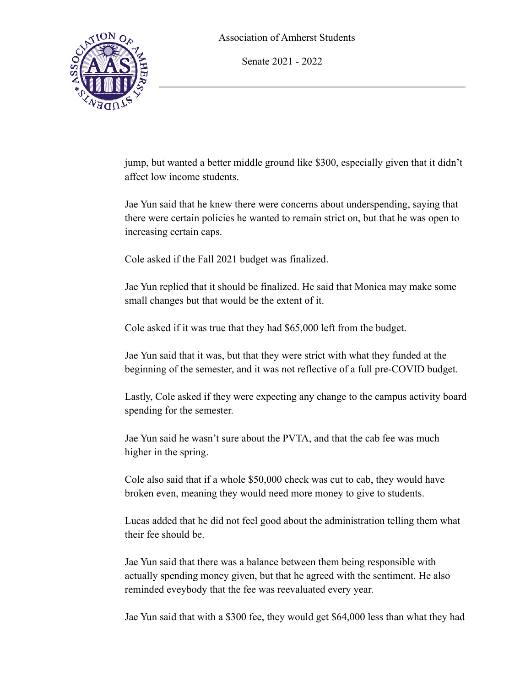Senate 2021 - 2022



jump, but wanted a better middle ground like \$300, especially given that it didn't affect low income students.

Jae Yun said that he knew there were concerns about underspending, saying that there were certain policies he wanted to remain strict on, but that he was open to increasing certain caps.

Cole asked if the Fall 2021 budget was finalized.

Jae Yun replied that it should be finalized. He said that Monica may make some small changes but that would be the extent of it.

Cole asked if it was true that they had \$65,000 left from the budget.

Jae Yun said that it was, but that they were strict with what they funded at the beginning of the semester, and it was not reflective of a full pre-COVID budget.

Lastly, Cole asked if they were expecting any change to the campus activity board spending for the semester.

Jae Yun said he wasn't sure about the PVTA, and that the cab fee was much higher in the spring.

Cole also said that if a whole \$50,000 check was cut to cab, they would have broken even, meaning they would need more money to give to students.

Lucas added that he did not feel good about the administration telling them what their fee should be.

Jae Yun said that there was a balance between them being responsible with actually spending money given, but that he agreed with the sentiment. He also reminded eveybody that the fee was reevaluated every year.

Jae Yun said that with a \$300 fee, they would get \$64,000 less than what they had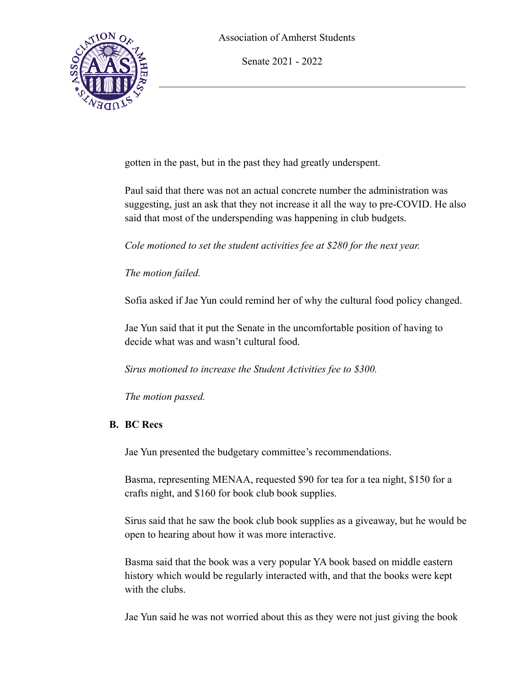Senate 2021 - 2022



gotten in the past, but in the past they had greatly underspent.

Paul said that there was not an actual concrete number the administration was suggesting, just an ask that they not increase it all the way to pre-COVID. He also said that most of the underspending was happening in club budgets.

*Cole motioned to set the student activities fee at \$280 for the next year.*

*The motion failed.*

Sofia asked if Jae Yun could remind her of why the cultural food policy changed.

Jae Yun said that it put the Senate in the uncomfortable position of having to decide what was and wasn't cultural food.

*Sirus motioned to increase the Student Activities fee to \$300.*

*The motion passed.*

## **B. BC Recs**

Jae Yun presented the budgetary committee's recommendations.

Basma, representing MENAA, requested \$90 for tea for a tea night, \$150 for a crafts night, and \$160 for book club book supplies.

Sirus said that he saw the book club book supplies as a giveaway, but he would be open to hearing about how it was more interactive.

Basma said that the book was a very popular YA book based on middle eastern history which would be regularly interacted with, and that the books were kept with the clubs.

Jae Yun said he was not worried about this as they were not just giving the book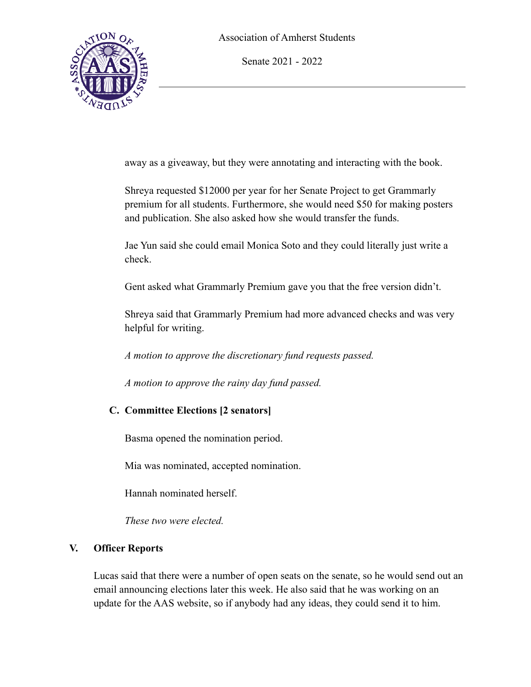Senate 2021 - 2022



away as a giveaway, but they were annotating and interacting with the book.

Shreya requested \$12000 per year for her Senate Project to get Grammarly premium for all students. Furthermore, she would need \$50 for making posters and publication. She also asked how she would transfer the funds.

Jae Yun said she could email Monica Soto and they could literally just write a check.

Gent asked what Grammarly Premium gave you that the free version didn't.

Shreya said that Grammarly Premium had more advanced checks and was very helpful for writing.

*A motion to approve the discretionary fund requests passed.*

*A motion to approve the rainy day fund passed.*

# **C. Committee Elections [2 senators]**

Basma opened the nomination period.

Mia was nominated, accepted nomination.

Hannah nominated herself.

*These two were elected.*

# **V. Officer Reports**

Lucas said that there were a number of open seats on the senate, so he would send out an email announcing elections later this week. He also said that he was working on an update for the AAS website, so if anybody had any ideas, they could send it to him.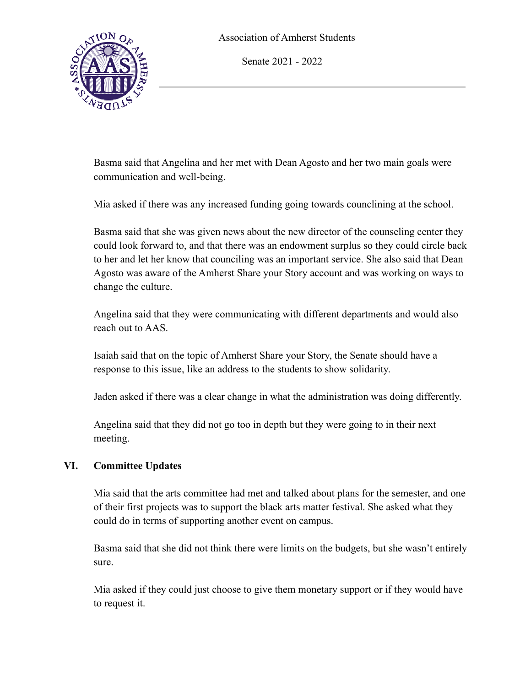



Basma said that Angelina and her met with Dean Agosto and her two main goals were communication and well-being.

Mia asked if there was any increased funding going towards counclining at the school.

Basma said that she was given news about the new director of the counseling center they could look forward to, and that there was an endowment surplus so they could circle back to her and let her know that counciling was an important service. She also said that Dean Agosto was aware of the Amherst Share your Story account and was working on ways to change the culture.

Angelina said that they were communicating with different departments and would also reach out to AAS.

Isaiah said that on the topic of Amherst Share your Story, the Senate should have a response to this issue, like an address to the students to show solidarity.

Jaden asked if there was a clear change in what the administration was doing differently.

Angelina said that they did not go too in depth but they were going to in their next meeting.

# **VI. Committee Updates**

Mia said that the arts committee had met and talked about plans for the semester, and one of their first projects was to support the black arts matter festival. She asked what they could do in terms of supporting another event on campus.

Basma said that she did not think there were limits on the budgets, but she wasn't entirely sure.

Mia asked if they could just choose to give them monetary support or if they would have to request it.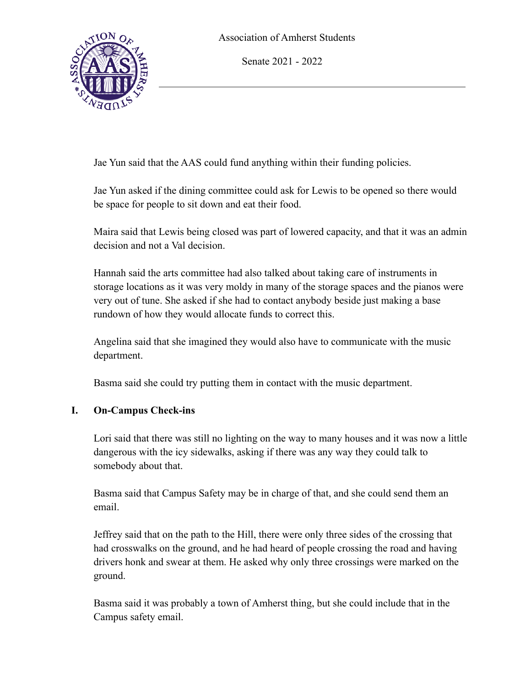Senate 2021 - 2022



Jae Yun said that the AAS could fund anything within their funding policies.

Jae Yun asked if the dining committee could ask for Lewis to be opened so there would be space for people to sit down and eat their food.

Maira said that Lewis being closed was part of lowered capacity, and that it was an admin decision and not a Val decision.

Hannah said the arts committee had also talked about taking care of instruments in storage locations as it was very moldy in many of the storage spaces and the pianos were very out of tune. She asked if she had to contact anybody beside just making a base rundown of how they would allocate funds to correct this.

Angelina said that she imagined they would also have to communicate with the music department.

Basma said she could try putting them in contact with the music department.

# **I. On-Campus Check-ins**

Lori said that there was still no lighting on the way to many houses and it was now a little dangerous with the icy sidewalks, asking if there was any way they could talk to somebody about that.

Basma said that Campus Safety may be in charge of that, and she could send them an email.

Jeffrey said that on the path to the Hill, there were only three sides of the crossing that had crosswalks on the ground, and he had heard of people crossing the road and having drivers honk and swear at them. He asked why only three crossings were marked on the ground.

Basma said it was probably a town of Amherst thing, but she could include that in the Campus safety email.